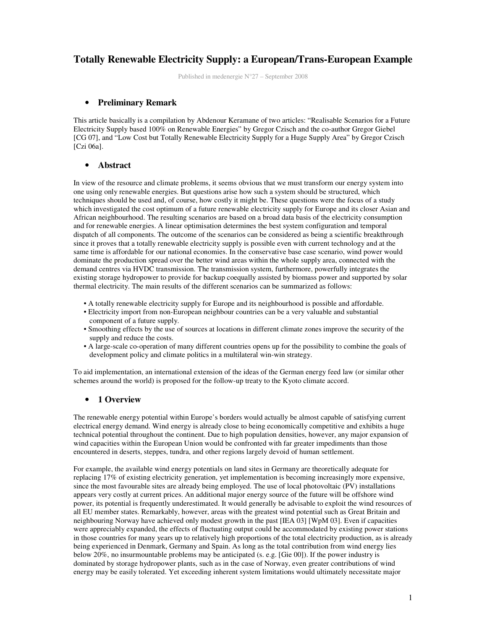# **Totally Renewable Electricity Supply: a European/Trans-European Example**

Published in medenergie N°27 – September 2008

# • **Preliminary Remark**

This article basically is a compilation by Abdenour Keramane of two articles: "Realisable Scenarios for a Future Electricity Supply based 100% on Renewable Energies" by Gregor Czisch and the co-author Gregor Giebel [CG 07], and "Low Cost but Totally Renewable Electricity Supply for a Huge Supply Area" by Gregor Czisch [Czi 06a].

### • **Abstract**

In view of the resource and climate problems, it seems obvious that we must transform our energy system into one using only renewable energies. But questions arise how such a system should be structured, which techniques should be used and, of course, how costly it might be. These questions were the focus of a study which investigated the cost optimum of a future renewable electricity supply for Europe and its closer Asian and African neighbourhood. The resulting scenarios are based on a broad data basis of the electricity consumption and for renewable energies. A linear optimisation determines the best system configuration and temporal dispatch of all components. The outcome of the scenarios can be considered as being a scientific breakthrough since it proves that a totally renewable electricity supply is possible even with current technology and at the same time is affordable for our national economies. In the conservative base case scenario, wind power would dominate the production spread over the better wind areas within the whole supply area, connected with the demand centres via HVDC transmission. The transmission system, furthermore, powerfully integrates the existing storage hydropower to provide for backup coequally assisted by biomass power and supported by solar thermal electricity. The main results of the different scenarios can be summarized as follows:

- A totally renewable electricity supply for Europe and its neighbourhood is possible and affordable.
- Electricity import from non-European neighbour countries can be a very valuable and substantial component of a future supply.
- Smoothing effects by the use of sources at locations in different climate zones improve the security of the supply and reduce the costs.
- A large-scale co-operation of many different countries opens up for the possibility to combine the goals of development policy and climate politics in a multilateral win-win strategy.

To aid implementation, an international extension of the ideas of the German energy feed law (or similar other schemes around the world) is proposed for the follow-up treaty to the Kyoto climate accord.

# • **1 Overview**

The renewable energy potential within Europe's borders would actually be almost capable of satisfying current electrical energy demand. Wind energy is already close to being economically competitive and exhibits a huge technical potential throughout the continent. Due to high population densities, however, any major expansion of wind capacities within the European Union would be confronted with far greater impediments than those encountered in deserts, steppes, tundra, and other regions largely devoid of human settlement.

For example, the available wind energy potentials on land sites in Germany are theoretically adequate for replacing 17% of existing electricity generation, yet implementation is becoming increasingly more expensive, since the most favourable sites are already being employed. The use of local photovoltaic (PV) installations appears very costly at current prices. An additional major energy source of the future will be offshore wind power, its potential is frequently underestimated. It would generally be advisable to exploit the wind resources of all EU member states. Remarkably, however, areas with the greatest wind potential such as Great Britain and neighbouring Norway have achieved only modest growth in the past [IEA 03] [WpM 03]. Even if capacities were appreciably expanded, the effects of fluctuating output could be accommodated by existing power stations in those countries for many years up to relatively high proportions of the total electricity production, as is already being experienced in Denmark, Germany and Spain. As long as the total contribution from wind energy lies below 20%, no insurmountable problems may be anticipated (s. e.g. [Gie 00]). If the power industry is dominated by storage hydropower plants, such as in the case of Norway, even greater contributions of wind energy may be easily tolerated. Yet exceeding inherent system limitations would ultimately necessitate major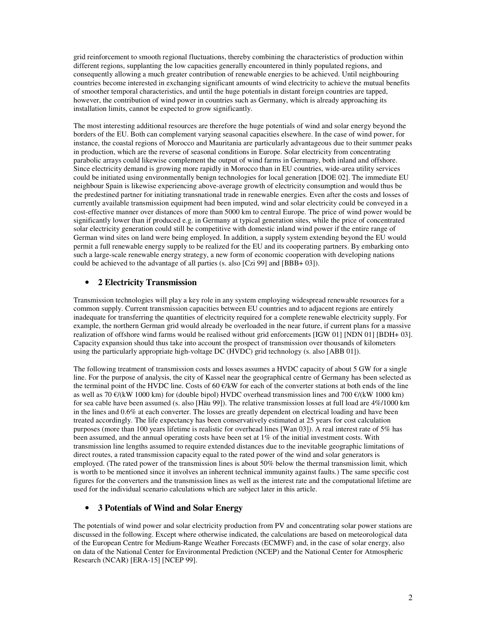grid reinforcement to smooth regional fluctuations, thereby combining the characteristics of production within different regions, supplanting the low capacities generally encountered in thinly populated regions, and consequently allowing a much greater contribution of renewable energies to be achieved. Until neighbouring countries become interested in exchanging significant amounts of wind electricity to achieve the mutual benefits of smoother temporal characteristics, and until the huge potentials in distant foreign countries are tapped, however, the contribution of wind power in countries such as Germany, which is already approaching its installation limits, cannot be expected to grow significantly.

The most interesting additional resources are therefore the huge potentials of wind and solar energy beyond the borders of the EU. Both can complement varying seasonal capacities elsewhere. In the case of wind power, for instance, the coastal regions of Morocco and Mauritania are particularly advantageous due to their summer peaks in production, which are the reverse of seasonal conditions in Europe. Solar electricity from concentrating parabolic arrays could likewise complement the output of wind farms in Germany, both inland and offshore. Since electricity demand is growing more rapidly in Morocco than in EU countries, wide-area utility services could be initiated using environmentally benign technologies for local generation [DOE 02]. The immediate EU neighbour Spain is likewise experiencing above-average growth of electricity consumption and would thus be the predestined partner for initiating transnational trade in renewable energies. Even after the costs and losses of currently available transmission equipment had been imputed, wind and solar electricity could be conveyed in a cost-effective manner over distances of more than 5000 km to central Europe. The price of wind power would be significantly lower than if produced e.g. in Germany at typical generation sites, while the price of concentrated solar electricity generation could still be competitive with domestic inland wind power if the entire range of German wind sites on land were being employed. In addition, a supply system extending beyond the EU would permit a full renewable energy supply to be realized for the EU and its cooperating partners. By embarking onto such a large-scale renewable energy strategy, a new form of economic cooperation with developing nations could be achieved to the advantage of all parties (s. also [Czi 99] and [BBB+ 03]).

# • **2 Electricity Transmission**

Transmission technologies will play a key role in any system employing widespread renewable resources for a common supply. Current transmission capacities between EU countries and to adjacent regions are entirely inadequate for transferring the quantities of electricity required for a complete renewable electricity supply. For example, the northern German grid would already be overloaded in the near future, if current plans for a massive realization of offshore wind farms would be realised without grid enforcements [IGW 01] [NDN 01] [BDH+ 03]. Capacity expansion should thus take into account the prospect of transmission over thousands of kilometers using the particularly appropriate high-voltage DC (HVDC) grid technology (s. also [ABB 01]).

The following treatment of transmission costs and losses assumes a HVDC capacity of about 5 GW for a single line. For the purpose of analysis, the city of Kassel near the geographical centre of Germany has been selected as the terminal point of the HVDC line. Costs of 60  $\mathcal{C}/kW$  for each of the converter stations at both ends of the line as well as 70  $\mathcal{C}/(kW 1000 \text{ km})$  for (double bipol) HVDC overhead transmission lines and 700  $\mathcal{C}/(kW 1000 \text{ km})$ for sea cable have been assumed (s. also [Häu 99]). The relative transmission losses at full load are 4%/1000 km in the lines and 0.6% at each converter. The losses are greatly dependent on electrical loading and have been treated accordingly. The life expectancy has been conservatively estimated at 25 years for cost calculation purposes (more than 100 years lifetime is realistic for overhead lines [Wan 03]). A real interest rate of 5% has been assumed, and the annual operating costs have been set at 1% of the initial investment costs. With transmission line lengths assumed to require extended distances due to the inevitable geographic limitations of direct routes, a rated transmission capacity equal to the rated power of the wind and solar generators is employed. (The rated power of the transmission lines is about 50% below the thermal transmission limit, which is worth to be mentioned since it involves an inherent technical immunity against faults.) The same specific cost figures for the converters and the transmission lines as well as the interest rate and the computational lifetime are used for the individual scenario calculations which are subject later in this article.

# • **3 Potentials of Wind and Solar Energy**

The potentials of wind power and solar electricity production from PV and concentrating solar power stations are discussed in the following. Except where otherwise indicated, the calculations are based on meteorological data of the European Centre for Medium-Range Weather Forecasts (ECMWF) and, in the case of solar energy, also on data of the National Center for Environmental Prediction (NCEP) and the National Center for Atmospheric Research (NCAR) [ERA-15] [NCEP 99].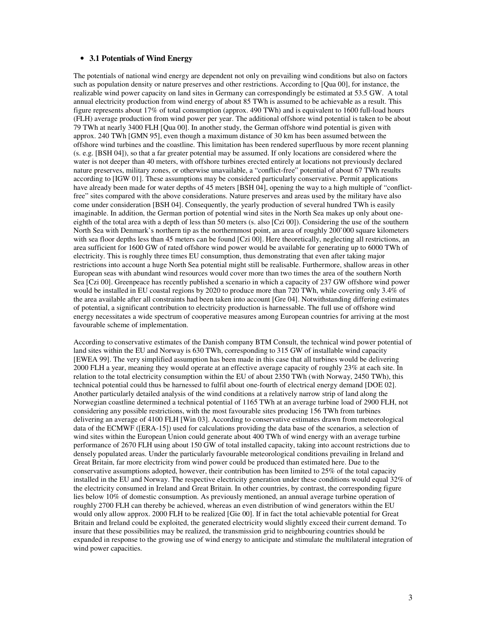### • **3.1 Potentials of Wind Energy**

The potentials of national wind energy are dependent not only on prevailing wind conditions but also on factors such as population density or nature preserves and other restrictions. According to [Qua 00], for instance, the realizable wind power capacity on land sites in Germany can correspondingly be estimated at 53.5 GW. A total annual electricity production from wind energy of about 85 TWh is assumed to be achievable as a result. This figure represents about 17% of total consumption (approx. 490 TWh) and is equivalent to 1600 full-load hours (FLH) average production from wind power per year. The additional offshore wind potential is taken to be about 79 TWh at nearly 3400 FLH [Qua 00]. In another study, the German offshore wind potential is given with approx. 240 TWh [GMN 95], even though a maximum distance of 30 km has been assumed between the offshore wind turbines and the coastline. This limitation has been rendered superfluous by more recent planning (s. e.g. [BSH 04]), so that a far greater potential may be assumed. If only locations are considered where the water is not deeper than 40 meters, with offshore turbines erected entirely at locations not previously declared nature preserves, military zones, or otherwise unavailable, a "conflict-free" potential of about 67 TWh results according to [IGW 01]. These assumptions may be considered particularly conservative. Permit applications have already been made for water depths of 45 meters [BSH 04], opening the way to a high multiple of "conflictfree" sites compared with the above considerations. Nature preserves and areas used by the military have also come under consideration [BSH 04]. Consequently, the yearly production of several hundred TWh is easily imaginable. In addition, the German portion of potential wind sites in the North Sea makes up only about oneeighth of the total area with a depth of less than 50 meters (s. also [Czi 00]). Considering the use of the southern North Sea with Denmark's northern tip as the northernmost point, an area of roughly 200'000 square kilometers with sea floor depths less than 45 meters can be found [Czi 00]. Here theoretically, neglecting all restrictions, an area sufficient for 1600 GW of rated offshore wind power would be available for generating up to 6000 TWh of electricity. This is roughly three times EU consumption, thus demonstrating that even after taking major restrictions into account a huge North Sea potential might still be realisable. Furthermore, shallow areas in other European seas with abundant wind resources would cover more than two times the area of the southern North Sea [Czi 00]. Greenpeace has recently published a scenario in which a capacity of 237 GW offshore wind power would be installed in EU coastal regions by 2020 to produce more than 720 TWh, while covering only 3.4% of the area available after all constraints had been taken into account [Gre 04]. Notwithstanding differing estimates of potential, a significant contribution to electricity production is harnessable. The full use of offshore wind energy necessitates a wide spectrum of cooperative measures among European countries for arriving at the most favourable scheme of implementation.

According to conservative estimates of the Danish company BTM Consult, the technical wind power potential of land sites within the EU and Norway is 630 TWh, corresponding to 315 GW of installable wind capacity [EWEA 99]. The very simplified assumption has been made in this case that all turbines would be delivering 2000 FLH a year, meaning they would operate at an effective average capacity of roughly 23% at each site. In relation to the total electricity consumption within the EU of about 2350 TWh (with Norway, 2450 TWh), this technical potential could thus be harnessed to fulfil about one-fourth of electrical energy demand [DOE 02]. Another particularly detailed analysis of the wind conditions at a relatively narrow strip of land along the Norwegian coastline determined a technical potential of 1165 TWh at an average turbine load of 2900 FLH, not considering any possible restrictions, with the most favourable sites producing 156 TWh from turbines delivering an average of 4100 FLH [Win 03]. According to conservative estimates drawn from meteorological data of the ECMWF ([ERA-15]) used for calculations providing the data base of the scenarios, a selection of wind sites within the European Union could generate about 400 TWh of wind energy with an average turbine performance of 2670 FLH using about 150 GW of total installed capacity, taking into account restrictions due to densely populated areas. Under the particularly favourable meteorological conditions prevailing in Ireland and Great Britain, far more electricity from wind power could be produced than estimated here. Due to the conservative assumptions adopted, however, their contribution has been limited to 25% of the total capacity installed in the EU and Norway. The respective electricity generation under these conditions would equal 32% of the electricity consumed in Ireland and Great Britain. In other countries, by contrast, the corresponding figure lies below 10% of domestic consumption. As previously mentioned, an annual average turbine operation of roughly 2700 FLH can thereby be achieved, whereas an even distribution of wind generators within the EU would only allow approx. 2000 FLH to be realized [Gie 00]. If in fact the total achievable potential for Great Britain and Ireland could be exploited, the generated electricity would slightly exceed their current demand. To insure that these possibilities may be realized, the transmission grid to neighbouring countries should be expanded in response to the growing use of wind energy to anticipate and stimulate the multilateral integration of wind power capacities.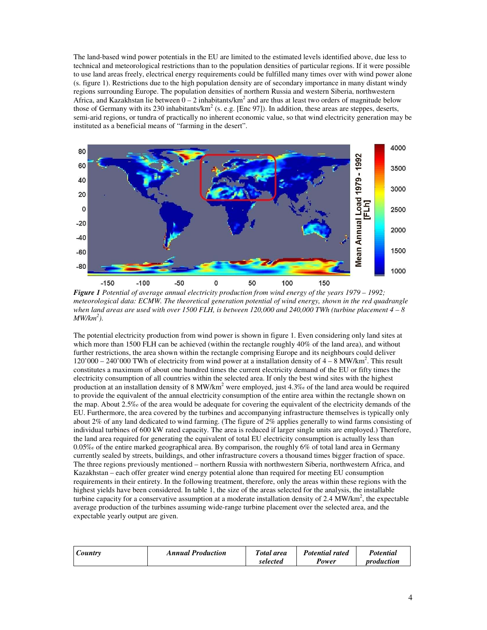The land-based wind power potentials in the EU are limited to the estimated levels identified above, due less to technical and meteorological restrictions than to the population densities of particular regions. If it were possible to use land areas freely, electrical energy requirements could be fulfilled many times over with wind power alone (s. figure 1). Restrictions due to the high population density are of secondary importance in many distant windy regions surrounding Europe. The population densities of northern Russia and western Siberia, northwestern Africa, and Kazakhstan lie between  $0-2$  inhabitants/km<sup>2</sup> and are thus at least two orders of magnitude below those of Germany with its 230 inhabitants/ $km^2$  (s. e.g. [Enc 97]). In addition, these areas are steppes, deserts, semi-arid regions, or tundra of practically no inherent economic value, so that wind electricity generation may be instituted as a beneficial means of "farming in the desert".



*Figure 1 Potential of average annual electricity production from wind energy of the years 1979 – 1992; meteorological data: ECMW. The theoretical generation potential of wind energy, shown in the red quadrangle when land areas are used with over 1500 FLH, is between 120,000 and 240,000 TWh (turbine placement 4 – 8 MW/km<sup>2</sup> ).* 

The potential electricity production from wind power is shown in figure 1. Even considering only land sites at which more than 1500 FLH can be achieved (within the rectangle roughly 40% of the land area), and without further restrictions, the area shown within the rectangle comprising Europe and its neighbours could deliver 120'000 – 240'000 TWh of electricity from wind power at a installation density of 4 – 8 MW/km<sup>2</sup>. This result constitutes a maximum of about one hundred times the current electricity demand of the EU or fifty times the electricity consumption of all countries within the selected area. If only the best wind sites with the highest production at an installation density of 8 MW/km<sup>2</sup> were employed, just 4.3‰ of the land area would be required to provide the equivalent of the annual electricity consumption of the entire area within the rectangle shown on the map. About 2.5‰ of the area would be adequate for covering the equivalent of the electricity demands of the EU. Furthermore, the area covered by the turbines and accompanying infrastructure themselves is typically only about 2% of any land dedicated to wind farming. (The figure of 2% applies generally to wind farms consisting of individual turbines of 600 kW rated capacity. The area is reduced if larger single units are employed.) Therefore, the land area required for generating the equivalent of total EU electricity consumption is actually less than 0.05‰ of the entire marked geographical area. By comparison, the roughly 6% of total land area in Germany currently sealed by streets, buildings, and other infrastructure covers a thousand times bigger fraction of space. The three regions previously mentioned – northern Russia with northwestern Siberia, northwestern Africa, and Kazakhstan – each offer greater wind energy potential alone than required for meeting EU consumption requirements in their entirety. In the following treatment, therefore, only the areas within these regions with the highest yields have been considered. In table 1, the size of the areas selected for the analysis, the installable turbine capacity for a conservative assumption at a moderate installation density of 2.4  $MW/km<sup>2</sup>$ , the expectable average production of the turbines assuming wide-range turbine placement over the selected area, and the expectable yearly output are given.

| Country | <b>Annual Production</b> | Total area | <b>Potential rated</b> | Potential  |
|---------|--------------------------|------------|------------------------|------------|
|         |                          | selected   | Power                  | production |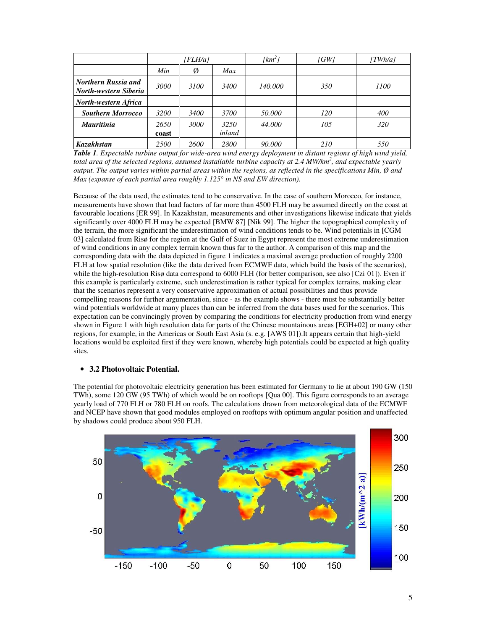|                                              |               | [FLH/a] |                | [ $km^2$ ] | IGW | [TWh/a] |
|----------------------------------------------|---------------|---------|----------------|------------|-----|---------|
|                                              | Min           | Ø       | Max            |            |     |         |
| Northern Russia and<br>North-western Siberia | 3000          | 3100    | 3400           | 140.000    | 350 | 1100    |
| North-western Africa                         |               |         |                |            |     |         |
| <b>Southern Morrocco</b>                     | 3200          | 3400    | 3700           | 50.000     | 120 | 400     |
| <b>Mauritinia</b>                            | 2650<br>coast | 3000    | 3250<br>inland | 44.000     | 105 | 320     |
| Kazakhstan                                   | 2500          | 2600    | 2800           | 90.000     | 210 | 550     |

*Table 1. Expectable turbine output for wide-area wind energy deployment in distant regions of high wind yield, total area of the selected regions, assumed installable turbine capacity at 2.4 MW/km<sup>2</sup> , and expectable yearly output. The output varies within partial areas within the regions, as reflected in the specifications Min, Ø and Max (expanse of each partial area roughly 1.125° in NS and EW direction).* 

Because of the data used, the estimates tend to be conservative. In the case of southern Morocco, for instance, measurements have shown that load factors of far more than 4500 FLH may be assumed directly on the coast at favourable locations [ER 99]. In Kazakhstan, measurements and other investigations likewise indicate that yields significantly over 4000 FLH may be expected [BMW 87] [Nik 99]. The higher the topographical complexity of the terrain, the more significant the underestimation of wind conditions tends to be. Wind potentials in [CGM 03] calculated from Risø for the region at the Gulf of Suez in Egypt represent the most extreme underestimation of wind conditions in any complex terrain known thus far to the author. A comparison of this map and the corresponding data with the data depicted in figure 1 indicates a maximal average production of roughly 2200 FLH at low spatial resolution (like the data derived from ECMWF data, which build the basis of the scenarios), while the high-resolution Risø data correspond to 6000 FLH (for better comparison, see also [Czi 01]). Even if this example is particularly extreme, such underestimation is rather typical for complex terrains, making clear that the scenarios represent a very conservative approximation of actual possibilities and thus provide compelling reasons for further argumentation, since - as the example shows - there must be substantially better wind potentials worldwide at many places than can be inferred from the data bases used for the scenarios. This expectation can be convincingly proven by comparing the conditions for electricity production from wind energy shown in Figure 1 with high resolution data for parts of the Chinese mountainous areas [EGH+02] or many other regions, for example, in the Americas or South East Asia (s. e.g. [AWS 01]).It appears certain that high-yield locations would be exploited first if they were known, whereby high potentials could be expected at high quality sites.

### • **3.2 Photovoltaic Potential.**

The potential for photovoltaic electricity generation has been estimated for Germany to lie at about 190 GW (150 TWh), some 120 GW (95 TWh) of which would be on rooftops [Qua 00]. This figure corresponds to an average yearly load of 770 FLH or 780 FLH on roofs. The calculations drawn from meteorological data of the ECMWF and NCEP have shown that good modules employed on rooftops with optimum angular position and unaffected by shadows could produce about 950 FLH.

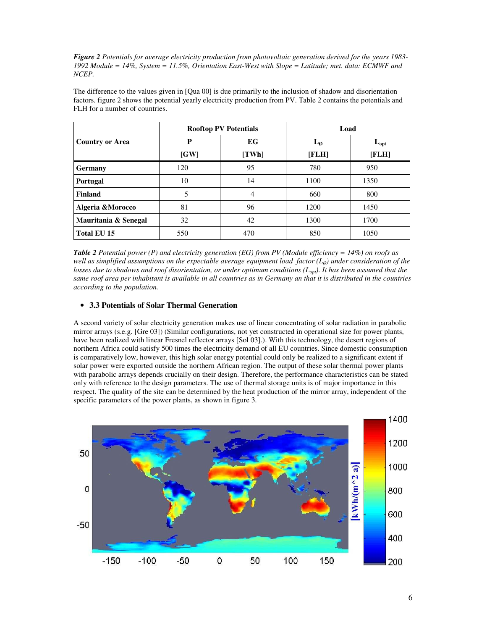*Figure 2 Potentials for average electricity production from photovoltaic generation derived for the years 1983- 1992 Module = 14%, System = 11.5%, Orientation East-West with Slope = Latitude; met. data: ECMWF and NCEP.* 

The difference to the values given in [Qua 00] is due primarily to the inclusion of shadow and disorientation factors. figure 2 shows the potential yearly electricity production from PV. Table 2 contains the potentials and FLH for a number of countries.

|                        |      | <b>Rooftop PV Potentials</b> | Load  |           |  |  |  |
|------------------------|------|------------------------------|-------|-----------|--|--|--|
| <b>Country or Area</b> | P    | EG                           | $L_0$ | $L_{opt}$ |  |  |  |
|                        | [GW] | [TWh]                        | [FLH] | [FLH]     |  |  |  |
| <b>Germany</b>         | 120  | 95                           | 780   | 950       |  |  |  |
| <b>Portugal</b>        | 10   | 14                           | 1100  | 1350      |  |  |  |
| <b>Finland</b>         | 5    | 4                            | 660   | 800       |  |  |  |
| Algeria & Morocco      | 81   | 96                           | 1200  | 1450      |  |  |  |
| Mauritania & Senegal   | 32   | 42                           | 1300  | 1700      |  |  |  |
| <b>Total EU 15</b>     | 550  | 470                          | 850   | 1050      |  |  |  |

*Table 2 Potential power (P) and electricity generation (EG) from PV (Module efficiency = 14%) on roofs as well as simplified assumptions on the expectable average equipment load factor*  $(L_0)$  *under consideration of the losses due to shadows and roof disorientation, or under optimum conditions (L<sub>opt</sub>). It has been assumed that the same roof area per inhabitant is available in all countries as in Germany an that it is distributed in the countries according to the population.* 

# • **3.3 Potentials of Solar Thermal Generation**

A second variety of solar electricity generation makes use of linear concentrating of solar radiation in parabolic mirror arrays (s.e.g. [Gre 03]) (Similar configurations, not yet constructed in operational size for power plants, have been realized with linear Fresnel reflector arrays [Sol 03].). With this technology, the desert regions of northern Africa could satisfy 500 times the electricity demand of all EU countries. Since domestic consumption is comparatively low, however, this high solar energy potential could only be realized to a significant extent if solar power were exported outside the northern African region. The output of these solar thermal power plants with parabolic arrays depends crucially on their design. Therefore, the performance characteristics can be stated only with reference to the design parameters. The use of thermal storage units is of major importance in this respect. The quality of the site can be determined by the heat production of the mirror array, independent of the specific parameters of the power plants, as shown in figure 3.

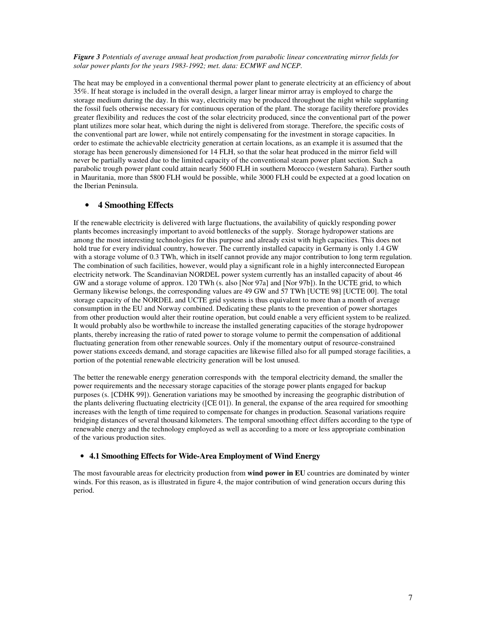#### *Figure 3 Potentials of average annual heat production from parabolic linear concentrating mirror fields for solar power plants for the years 1983-1992; met. data: ECMWF and NCEP.*

The heat may be employed in a conventional thermal power plant to generate electricity at an efficiency of about 35%. If heat storage is included in the overall design, a larger linear mirror array is employed to charge the storage medium during the day. In this way, electricity may be produced throughout the night while supplanting the fossil fuels otherwise necessary for continuous operation of the plant. The storage facility therefore provides greater flexibility and reduces the cost of the solar electricity produced, since the conventional part of the power plant utilizes more solar heat, which during the night is delivered from storage. Therefore, the specific costs of the conventional part are lower, while not entirely compensating for the investment in storage capacities. In order to estimate the achievable electricity generation at certain locations, as an example it is assumed that the storage has been generously dimensioned for 14 FLH, so that the solar heat produced in the mirror field will never be partially wasted due to the limited capacity of the conventional steam power plant section. Such a parabolic trough power plant could attain nearly 5600 FLH in southern Morocco (western Sahara). Farther south in Mauritania, more than 5800 FLH would be possible, while 3000 FLH could be expected at a good location on the Iberian Peninsula.

# • **4 Smoothing Effects**

If the renewable electricity is delivered with large fluctuations, the availability of quickly responding power plants becomes increasingly important to avoid bottlenecks of the supply. Storage hydropower stations are among the most interesting technologies for this purpose and already exist with high capacities. This does not hold true for every individual country, however. The currently installed capacity in Germany is only 1.4 GW with a storage volume of 0.3 TWh, which in itself cannot provide any major contribution to long term regulation. The combination of such facilities, however, would play a significant role in a highly interconnected European electricity network. The Scandinavian NORDEL power system currently has an installed capacity of about 46 GW and a storage volume of approx. 120 TWh (s. also [Nor 97a] and [Nor 97b]). In the UCTE grid, to which Germany likewise belongs, the corresponding values are 49 GW and 57 TWh [UCTE 98] [UCTE 00]. The total storage capacity of the NORDEL and UCTE grid systems is thus equivalent to more than a month of average consumption in the EU and Norway combined. Dedicating these plants to the prevention of power shortages from other production would alter their routine operation, but could enable a very efficient system to be realized. It would probably also be worthwhile to increase the installed generating capacities of the storage hydropower plants, thereby increasing the ratio of rated power to storage volume to permit the compensation of additional fluctuating generation from other renewable sources. Only if the momentary output of resource-constrained power stations exceeds demand, and storage capacities are likewise filled also for all pumped storage facilities, a portion of the potential renewable electricity generation will be lost unused.

The better the renewable energy generation corresponds with the temporal electricity demand, the smaller the power requirements and the necessary storage capacities of the storage power plants engaged for backup purposes (s. [CDHK 99]). Generation variations may be smoothed by increasing the geographic distribution of the plants delivering fluctuating electricity ([CE 01]). In general, the expanse of the area required for smoothing increases with the length of time required to compensate for changes in production. Seasonal variations require bridging distances of several thousand kilometers. The temporal smoothing effect differs according to the type of renewable energy and the technology employed as well as according to a more or less appropriate combination of the various production sites.

### • **4.1 Smoothing Effects for Wide-Area Employment of Wind Energy**

The most favourable areas for electricity production from **wind power in EU** countries are dominated by winter winds. For this reason, as is illustrated in figure 4, the major contribution of wind generation occurs during this period.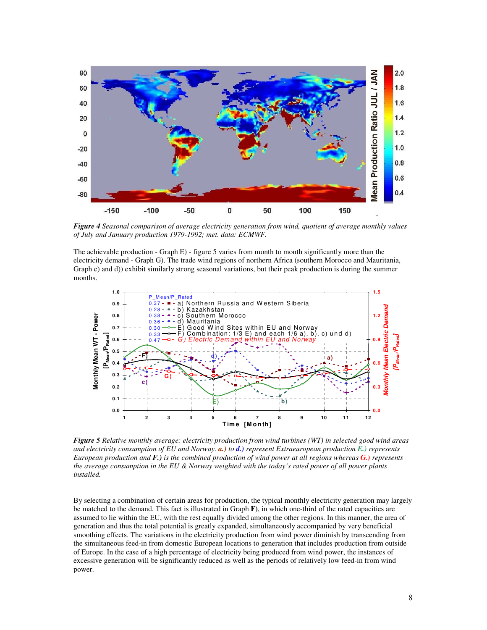

*Figure 4 Seasonal comparison of average electricity generation from wind, quotient of average monthly values of July and January production 1979-1992; met. data: ECMWF.* 

The achievable production - Graph E) - figure 5 varies from month to month significantly more than the electricity demand - Graph G). The trade wind regions of northern Africa (southern Morocco and Mauritania, Graph c) and d)) exhibit similarly strong seasonal variations, but their peak production is during the summer months.



*Figure 5 Relative monthly average: electricity production from wind turbines (WT) in selected good wind areas and electricity consumption of EU and Norway. a.) to d.) represent Extraeuropean production E.) represents European production and F.) is the combined production of wind power at all regions whereas G.) represents the average consumption in the EU & Norway weighted with the today's rated power of all power plants installed.*

By selecting a combination of certain areas for production, the typical monthly electricity generation may largely be matched to the demand. This fact is illustrated in Graph **F)**, in which one-third of the rated capacities are assumed to lie within the EU, with the rest equally divided among the other regions. In this manner, the area of generation and thus the total potential is greatly expanded, simultaneously accompanied by very beneficial smoothing effects. The variations in the electricity production from wind power diminish by transcending from the simultaneous feed-in from domestic European locations to generation that includes production from outside of Europe. In the case of a high percentage of electricity being produced from wind power, the instances of excessive generation will be significantly reduced as well as the periods of relatively low feed-in from wind power.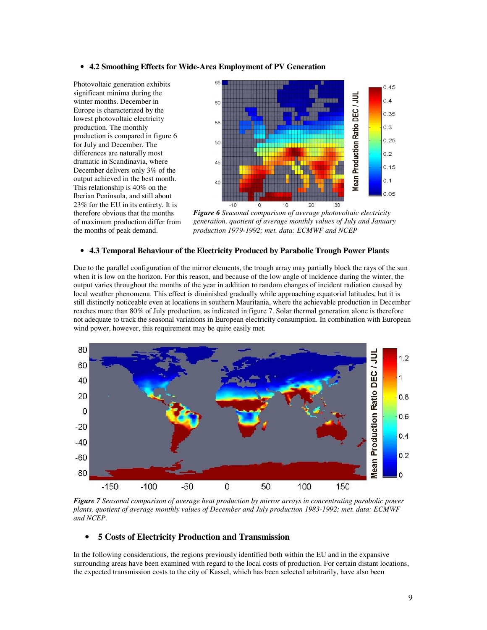#### • **4.2 Smoothing Effects for Wide-Area Employment of PV Generation**

Photovoltaic generation exhibits significant minima during the winter months. December in Europe is characterized by the lowest photovoltaic electricity production. The monthly production is compared in figure 6 for July and December. The differences are naturally most dramatic in Scandinavia, where December delivers only 3% of the output achieved in the best month. This relationship is 40% on the Iberian Peninsula, and still about 23% for the EU in its entirety. It is therefore obvious that the months of maximum production differ from the months of peak demand.



*Figure 6 Seasonal comparison of average photovoltaic electricity generation, quotient of average monthly values of July and January production 1979-1992; met. data: ECMWF and NCEP* 

### • **4.3 Temporal Behaviour of the Electricity Produced by Parabolic Trough Power Plants**

Due to the parallel configuration of the mirror elements, the trough array may partially block the rays of the sun when it is low on the horizon. For this reason, and because of the low angle of incidence during the winter, the output varies throughout the months of the year in addition to random changes of incident radiation caused by local weather phenomena. This effect is diminished gradually while approaching equatorial latitudes, but it is still distinctly noticeable even at locations in southern Mauritania, where the achievable production in December reaches more than 80% of July production, as indicated in figure 7. Solar thermal generation alone is therefore not adequate to track the seasonal variations in European electricity consumption. In combination with European wind power, however, this requirement may be quite easily met.



*Figure 7 Seasonal comparison of average heat production by mirror arrays in concentrating parabolic power plants, quotient of average monthly values of December and July production 1983-1992; met. data: ECMWF and NCEP.* 

### • **5 Costs of Electricity Production and Transmission**

In the following considerations, the regions previously identified both within the EU and in the expansive surrounding areas have been examined with regard to the local costs of production. For certain distant locations, the expected transmission costs to the city of Kassel, which has been selected arbitrarily, have also been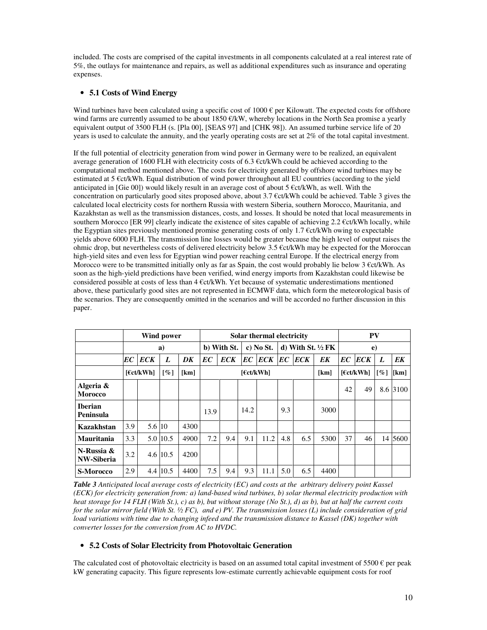included. The costs are comprised of the capital investments in all components calculated at a real interest rate of 5%, the outlays for maintenance and repairs, as well as additional expenditures such as insurance and operating expenses.

# • **5.1 Costs of Wind Energy**

Wind turbines have been calculated using a specific cost of  $1000 \epsilon$  per Kilowatt. The expected costs for offshore wind farms are currently assumed to be about 1850 €/kW, whereby locations in the North Sea promise a yearly equivalent output of 3500 FLH (s. [Pla 00], [SEAS 97] and [CHK 98]). An assumed turbine service life of 20 years is used to calculate the annuity, and the yearly operating costs are set at 2% of the total capital investment.

If the full potential of electricity generation from wind power in Germany were to be realized, an equivalent average generation of 1600 FLH with electricity costs of 6.3  $\epsilon$ ct/kWh could be achieved according to the computational method mentioned above. The costs for electricity generated by offshore wind turbines may be estimated at 5 €ct/kWh. Equal distribution of wind power throughout all EU countries (according to the yield anticipated in [Gie 00]) would likely result in an average cost of about  $5 \text{ Ect/kWh}$ , as well. With the concentration on particularly good sites proposed above, about 3.7 €ct/kWh could be achieved. Table 3 gives the calculated local electricity costs for northern Russia with western Siberia, southern Morocco, Mauritania, and Kazakhstan as well as the transmission distances, costs, and losses. It should be noted that local measurements in southern Morocco [ER 99] clearly indicate the existence of sites capable of achieving 2.2  $\epsilon$ ct/kWh locally, while the Egyptian sites previously mentioned promise generating costs of only 1.7 €ct/kWh owing to expectable yields above 6000 FLH. The transmission line losses would be greater because the high level of output raises the ohmic drop, but nevertheless costs of delivered electricity below 3.5 €ct/kWh may be expected for the Moroccan high-yield sites and even less for Egyptian wind power reaching central Europe. If the electrical energy from Morocco were to be transmitted initially only as far as Spain, the cost would probably lie below 3 €ct/kWh. As soon as the high-yield predictions have been verified, wind energy imports from Kazakhstan could likewise be considered possible at costs of less than  $4 \text{~$Cct/kWh}$ . Yet because of systematic underestimations mentioned above, these particularly good sites are not represented in ECMWF data, which form the meteorological basis of the scenarios. They are consequently omitted in the scenarios and will be accorded no further discussion in this paper.

|                                 | Wind power |            |                    | Solar thermal electricity  |           |            |                              |            |          |     | <b>PV</b> |           |            |                    |          |
|---------------------------------|------------|------------|--------------------|----------------------------|-----------|------------|------------------------------|------------|----------|-----|-----------|-----------|------------|--------------------|----------|
|                                 | a)         |            |                    | b) With St.<br>$c)$ No St. |           |            | d) With St. $\frac{1}{2}$ FK |            | $\bf{e}$ |     |           |           |            |                    |          |
|                                 | EC         | <b>ECK</b> | L                  | DK                         | <b>EC</b> | <b>ECK</b> | EC                           | <b>ECK</b> | EC       | ECK | EK        | EC        | <b>ECK</b> | L                  | EK       |
|                                 | [ect/kWh]  |            | $\lceil \% \rceil$ | [km]                       | [ect/kWh] |            |                              |            |          |     | [km]      | [ect/kWh] |            | $\lceil \% \rceil$ | [km]     |
| Algeria &<br><b>Morocco</b>     |            |            |                    |                            |           |            |                              |            |          |     |           | 42        | 49         |                    | 8.6 3100 |
| <b>Iberian</b><br>Peninsula     |            |            |                    |                            | 13.9      |            | 14.2                         |            | 9.3      |     | 3000      |           |            |                    |          |
| Kazakhstan                      | 3.9        | 5.6 10     |                    | 4300                       |           |            |                              |            |          |     |           |           |            |                    |          |
| <b>Mauritania</b>               | 3.3        |            | 5.0 10.5           | 4900                       | 7.2       | 9.4        | 9.1                          | 11.2       | 4.8      | 6.5 | 5300      | 37        | 46         |                    | 14 5600  |
| N-Russia &<br><b>NW-Siberia</b> | 3.2        |            | 4.6 10.5           | 4200                       |           |            |                              |            |          |     |           |           |            |                    |          |
| <b>S-Morocco</b>                | 2.9        |            | 4.4 10.5           | 4400                       | 7.5       | 9.4        | 9.3                          | 11.1       | 5.0      | 6.5 | 4400      |           |            |                    |          |

*Table 3 Anticipated local average costs of electricity (EC) and costs at the arbitrary delivery point Kassel (ECK) for electricity generation from: a) land-based wind turbines, b) solar thermal electricity production with heat storage for 14 FLH (With St.), c) as b), but without storage (No St.), d) as b), but at half the current costs for the solar mirror field (With St. ½ FC), and e) PV. The transmission losses (L) include consideration of grid load variations with time due to changing infeed and the transmission distance to Kassel (DK) together with converter losses for the conversion from AC to HVDC.* 

### • **5.2 Costs of Solar Electricity from Photovoltaic Generation**

The calculated cost of photovoltaic electricity is based on an assumed total capital investment of 5500  $\epsilon$  per peak kW generating capacity. This figure represents low-estimate currently achievable equipment costs for roof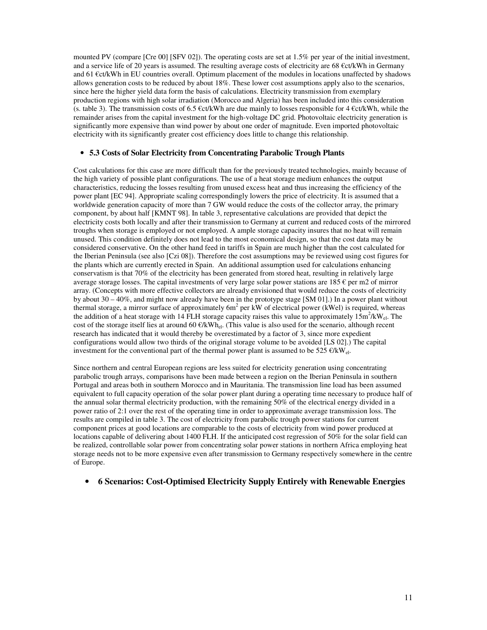mounted PV (compare [Cre 00] [SFV 02]). The operating costs are set at 1.5% per year of the initial investment, and a service life of 20 years is assumed. The resulting average costs of electricity are 68  $\epsilon$ ct/kWh in Germany and 61 €ct/kWh in EU countries overall. Optimum placement of the modules in locations unaffected by shadows allows generation costs to be reduced by about 18%. These lower cost assumptions apply also to the scenarios, since here the higher yield data form the basis of calculations. Electricity transmission from exemplary production regions with high solar irradiation (Morocco and Algeria) has been included into this consideration (s. table 3). The transmission costs of 6.5  $\epsilon$ ct/kWh are due mainly to losses responsible for 4  $\epsilon$ ct/kWh, while the remainder arises from the capital investment for the high-voltage DC grid. Photovoltaic electricity generation is significantly more expensive than wind power by about one order of magnitude. Even imported photovoltaic electricity with its significantly greater cost efficiency does little to change this relationship.

### • **5.3 Costs of Solar Electricity from Concentrating Parabolic Trough Plants**

Cost calculations for this case are more difficult than for the previously treated technologies, mainly because of the high variety of possible plant configurations. The use of a heat storage medium enhances the output characteristics, reducing the losses resulting from unused excess heat and thus increasing the efficiency of the power plant [EC 94]. Appropriate scaling correspondingly lowers the price of electricity. It is assumed that a worldwide generation capacity of more than 7 GW would reduce the costs of the collector array, the primary component, by about half [KMNT 98]. In table 3, representative calculations are provided that depict the electricity costs both locally and after their transmission to Germany at current and reduced costs of the mirrored troughs when storage is employed or not employed. A ample storage capacity insures that no heat will remain unused. This condition definitely does not lead to the most economical design, so that the cost data may be considered conservative. On the other hand feed in tariffs in Spain are much higher than the cost calculated for the Iberian Peninsula (see also [Czi 08]). Therefore the cost assumptions may be reviewed using cost figures for the plants which are currently erected in Spain. An additional assumption used for calculations enhancing conservatism is that 70% of the electricity has been generated from stored heat, resulting in relatively large average storage losses. The capital investments of very large solar power stations are  $185 \text{ } \infty$  per m2 of mirror array. (Concepts with more effective collectors are already envisioned that would reduce the costs of electricity by about 30 – 40%, and might now already have been in the prototype stage [SM 01].) In a power plant without thermal storage, a mirror surface of approximately  $6m^2$  per kW of electrical power (kWel) is required, whereas the addition of a heat storage with 14 FLH storage capacity raises this value to approximately  $15m^2/kW_{el}$ . The cost of the storage itself lies at around 60  $\epsilon/kWh_{el}$ . (This value is also used for the scenario, although recent research has indicated that it would thereby be overestimated by a factor of 3, since more expedient configurations would allow two thirds of the original storage volume to be avoided [LS 02].) The capital investment for the conventional part of the thermal power plant is assumed to be 525  $\epsilon$ /kW<sub>el</sub>.

Since northern and central European regions are less suited for electricity generation using concentrating parabolic trough arrays, comparisons have been made between a region on the Iberian Peninsula in southern Portugal and areas both in southern Morocco and in Mauritania. The transmission line load has been assumed equivalent to full capacity operation of the solar power plant during a operating time necessary to produce half of the annual solar thermal electricity production, with the remaining 50% of the electrical energy divided in a power ratio of 2:1 over the rest of the operating time in order to approximate average transmission loss. The results are compiled in table 3. The cost of electricity from parabolic trough power stations for current component prices at good locations are comparable to the costs of electricity from wind power produced at locations capable of delivering about 1400 FLH. If the anticipated cost regression of 50% for the solar field can be realized, controllable solar power from concentrating solar power stations in northern Africa employing heat storage needs not to be more expensive even after transmission to Germany respectively somewhere in the centre of Europe.

## • **6 Scenarios: Cost-Optimised Electricity Supply Entirely with Renewable Energies**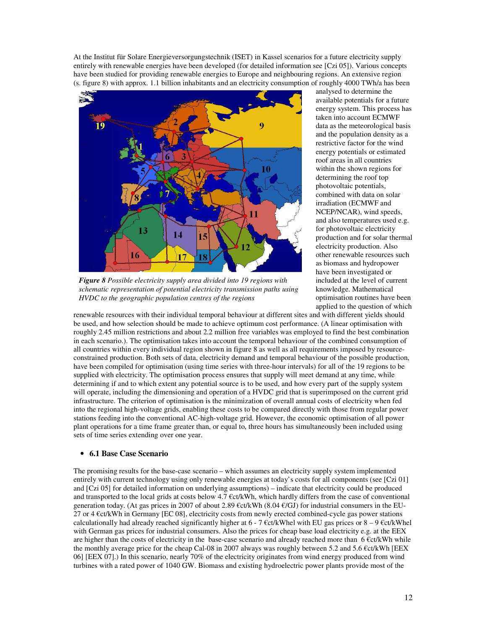At the Institut für Solare Energieversorgungstechnik (ISET) in Kassel scenarios for a future electricity supply entirely with renewable energies have been developed (for detailed information see [Czi 05]). Various concepts have been studied for providing renewable energies to Europe and neighbouring regions. An extensive region (s. figure 8) with approx. 1.1 billion inhabitants and an electricity consumption of roughly 4000 TWh/a has been



*Figure 8 Possible electricity supply area divided into 19 regions with schematic representation of potential electricity transmission paths using HVDC to the geographic population centres of the regions*

analysed to determine the available potentials for a future energy system. This process has taken into account ECMWF data as the meteorological basis and the population density as a restrictive factor for the wind energy potentials or estimated roof areas in all countries within the shown regions for determining the roof top photovoltaic potentials, combined with data on solar irradiation (ECMWF and NCEP/NCAR), wind speeds, and also temperatures used e.g. for photovoltaic electricity production and for solar thermal electricity production. Also other renewable resources such as biomass and hydropower have been investigated or included at the level of current knowledge. Mathematical optimisation routines have been applied to the question of which

renewable resources with their individual temporal behaviour at different sites and with different yields should be used, and how selection should be made to achieve optimum cost performance. (A linear optimisation with roughly 2.45 million restrictions and about 2.2 million free variables was employed to find the best combination in each scenario.). The optimisation takes into account the temporal behaviour of the combined consumption of all countries within every individual region shown in figure 8 as well as all requirements imposed by resourceconstrained production. Both sets of data, electricity demand and temporal behaviour of the possible production, have been compiled for optimisation (using time series with three-hour intervals) for all of the 19 regions to be supplied with electricity. The optimisation process ensures that supply will meet demand at any time, while determining if and to which extent any potential source is to be used, and how every part of the supply system will operate, including the dimensioning and operation of a HVDC grid that is superimposed on the current grid infrastructure. The criterion of optimisation is the minimization of overall annual costs of electricity when fed into the regional high-voltage grids, enabling these costs to be compared directly with those from regular power stations feeding into the conventional AC-high-voltage grid. However, the economic optimisation of all power plant operations for a time frame greater than, or equal to, three hours has simultaneously been included using sets of time series extending over one year.

### • **6.1 Base Case Scenario**

The promising results for the base-case scenario – which assumes an electricity supply system implemented entirely with current technology using only renewable energies at today's costs for all components (see [Czi 01] and [Czi 05] for detailed information on underlying assumptions) – indicate that electricity could be produced and transported to the local grids at costs below 4.7 €ct/kWh, which hardly differs from the case of conventional generation today. (At gas prices in 2007 of about 2.89  $\epsilon$ ct/kWh (8.04  $\epsilon$ /GJ) for industrial consumers in the EU-27 or 4 €ct/kWh in Germany [EC 08], electricity costs from newly erected combined-cycle gas power stations calculationally had already reached significantly higher at  $6 - 7 \text{ }$  Ect/kWhel with EU gas prices or  $8 - 9 \text{ }$  Ect/kWhel with German gas prices for industrial consumers. Also the prices for cheap base load electricity e.g. at the EEX are higher than the costs of electricity in the base-case scenario and already reached more than 6  $\epsilon$ ct/kWh while the monthly average price for the cheap Cal-08 in 2007 always was roughly between 5.2 and 5.6  $\epsilon$ ct/kWh [EEX 06] [EEX 07].) In this scenario, nearly 70% of the electricity originates from wind energy produced from wind turbines with a rated power of 1040 GW. Biomass and existing hydroelectric power plants provide most of the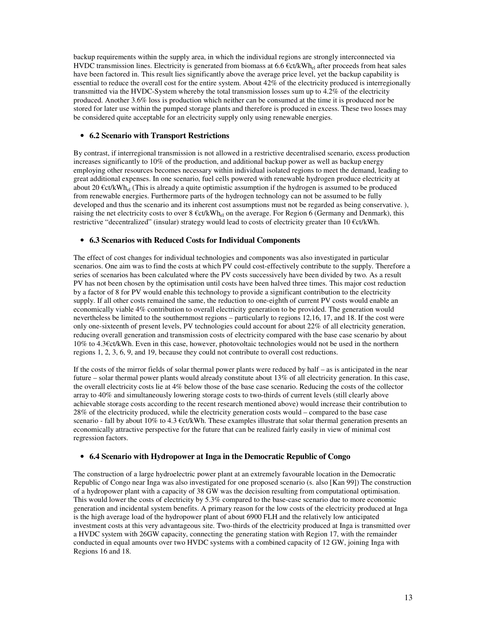backup requirements within the supply area, in which the individual regions are strongly interconnected via HVDC transmission lines. Electricity is generated from biomass at 6.6  $\epsilon$ ct/kWh<sub>el</sub> after proceeds from heat sales have been factored in. This result lies significantly above the average price level, yet the backup capability is essential to reduce the overall cost for the entire system. About 42% of the electricity produced is interregionally transmitted via the HVDC-System whereby the total transmission losses sum up to 4.2% of the electricity produced. Another 3.6% loss is production which neither can be consumed at the time it is produced nor be stored for later use within the pumped storage plants and therefore is produced in excess. These two losses may be considered quite acceptable for an electricity supply only using renewable energies.

### • **6.2 Scenario with Transport Restrictions**

By contrast, if interregional transmission is not allowed in a restrictive decentralised scenario, excess production increases significantly to 10% of the production, and additional backup power as well as backup energy employing other resources becomes necessary within individual isolated regions to meet the demand, leading to great additional expenses. In one scenario, fuel cells powered with renewable hydrogen produce electricity at about 20  $\epsilon$ ct/kWh<sub>el</sub> (This is already a quite optimistic assumption if the hydrogen is assumed to be produced from renewable energies. Furthermore parts of the hydrogen technology can not be assumed to be fully developed and thus the scenario and its inherent cost assumptions must not be regarded as being conservative.), raising the net electricity costs to over  $8 \text{ } \text{\&ct/kWh}_{\text{el}}$  on the average. For Region 6 (Germany and Denmark), this restrictive "decentralized" (insular) strategy would lead to costs of electricity greater than 10 €ct/kWh.

### • **6.3 Scenarios with Reduced Costs for Individual Components**

The effect of cost changes for individual technologies and components was also investigated in particular scenarios. One aim was to find the costs at which PV could cost-effectively contribute to the supply. Therefore a series of scenarios has been calculated where the PV costs successively have been divided by two. As a result PV has not been chosen by the optimisation until costs have been halved three times. This major cost reduction by a factor of 8 for PV would enable this technology to provide a significant contribution to the electricity supply. If all other costs remained the same, the reduction to one-eighth of current PV costs would enable an economically viable 4% contribution to overall electricity generation to be provided. The generation would nevertheless be limited to the southernmost regions – particularly to regions 12,16, 17, and 18. If the cost were only one-sixteenth of present levels, PV technologies could account for about 22% of all electricity generation, reducing overall generation and transmission costs of electricity compared with the base case scenario by about 10% to 4.3€ct/kWh. Even in this case, however, photovoltaic technologies would not be used in the northern regions 1, 2, 3, 6, 9, and 19, because they could not contribute to overall cost reductions.

If the costs of the mirror fields of solar thermal power plants were reduced by half – as is anticipated in the near future – solar thermal power plants would already constitute about 13% of all electricity generation. In this case, the overall electricity costs lie at 4% below those of the base case scenario. Reducing the costs of the collector array to 40% and simultaneously lowering storage costs to two-thirds of current levels (still clearly above achievable storage costs according to the recent research mentioned above) would increase their contribution to 28% of the electricity produced, while the electricity generation costs would – compared to the base case scenario - fall by about 10% to 4.3 €ct/kWh. These examples illustrate that solar thermal generation presents an economically attractive perspective for the future that can be realized fairly easily in view of minimal cost regression factors.

### • **6.4 Scenario with Hydropower at Inga in the Democratic Republic of Congo**

The construction of a large hydroelectric power plant at an extremely favourable location in the Democratic Republic of Congo near Inga was also investigated for one proposed scenario (s. also [Kan 99]) The construction of a hydropower plant with a capacity of 38 GW was the decision resulting from computational optimisation. This would lower the costs of electricity by 5.3% compared to the base-case scenario due to more economic generation and incidental system benefits. A primary reason for the low costs of the electricity produced at Inga is the high average load of the hydropower plant of about 6900 FLH and the relatively low anticipated investment costs at this very advantageous site. Two-thirds of the electricity produced at Inga is transmitted over a HVDC system with 26GW capacity, connecting the generating station with Region 17, with the remainder conducted in equal amounts over two HVDC systems with a combined capacity of 12 GW, joining Inga with Regions 16 and 18.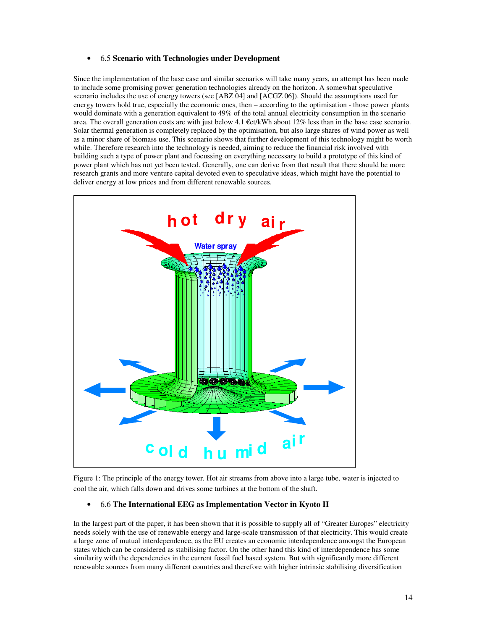### • 6.5 **Scenario with Technologies under Development**

Since the implementation of the base case and similar scenarios will take many years, an attempt has been made to include some promising power generation technologies already on the horizon. A somewhat speculative scenario includes the use of energy towers (see [ABZ 04] and [ACGZ 06]). Should the assumptions used for energy towers hold true, especially the economic ones, then – according to the optimisation - those power plants would dominate with a generation equivalent to 49% of the total annual electricity consumption in the scenario area. The overall generation costs are with just below 4.1 €ct/kWh about 12% less than in the base case scenario. Solar thermal generation is completely replaced by the optimisation, but also large shares of wind power as well as a minor share of biomass use. This scenario shows that further development of this technology might be worth while. Therefore research into the technology is needed, aiming to reduce the financial risk involved with building such a type of power plant and focussing on everything necessary to build a prototype of this kind of power plant which has not yet been tested. Generally, one can derive from that result that there should be more research grants and more venture capital devoted even to speculative ideas, which might have the potential to deliver energy at low prices and from different renewable sources.



Figure 1: The principle of the energy tower. Hot air streams from above into a large tube, water is injected to cool the air, which falls down and drives some turbines at the bottom of the shaft.

### • 6.6 **The International EEG as Implementation Vector in Kyoto II**

In the largest part of the paper, it has been shown that it is possible to supply all of "Greater Europes" electricity needs solely with the use of renewable energy and large-scale transmission of that electricity. This would create a large zone of mutual interdependence, as the EU creates an economic interdependence amongst the European states which can be considered as stabilising factor. On the other hand this kind of interdependence has some similarity with the dependencies in the current fossil fuel based system. But with significantly more different renewable sources from many different countries and therefore with higher intrinsic stabilising diversification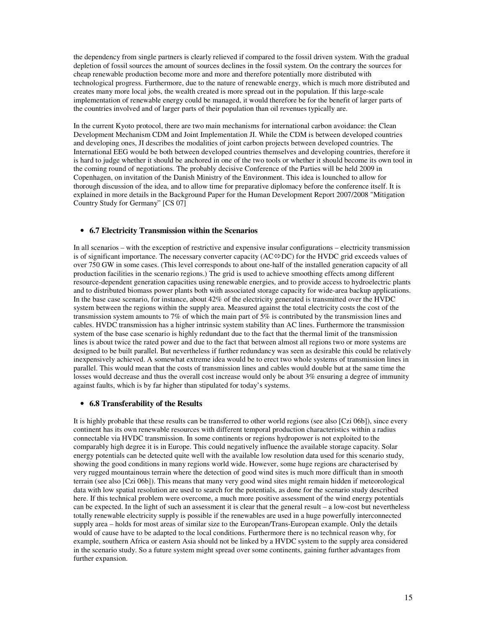the dependency from single partners is clearly relieved if compared to the fossil driven system. With the gradual depletion of fossil sources the amount of sources declines in the fossil system. On the contrary the sources for cheap renewable production become more and more and therefore potentially more distributed with technological progress. Furthermore, due to the nature of renewable energy, which is much more distributed and creates many more local jobs, the wealth created is more spread out in the population. If this large-scale implementation of renewable energy could be managed, it would therefore be for the benefit of larger parts of the countries involved and of larger parts of their population than oil revenues typically are.

In the current Kyoto protocol, there are two main mechanisms for international carbon avoidance: the Clean Development Mechanism CDM and Joint Implementation JI. While the CDM is between developed countries and developing ones, JI describes the modalities of joint carbon projects between developed countries. The International EEG would be both between developed countries themselves and developing countries, therefore it is hard to judge whether it should be anchored in one of the two tools or whether it should become its own tool in the coming round of negotiations. The probably decisive Conference of the Parties will be held 2009 in Copenhagen, on invitation of the Danish Ministry of the Environment. This idea is lounched to allow for thorough discussion of the idea, and to allow time for preparative diplomacy before the conference itself. It is explained in more details in the Background Paper for the Human Development Report 2007/2008 "Mitigation Country Study for Germany" [CS 07]

#### • **6.7 Electricity Transmission within the Scenarios**

In all scenarios – with the exception of restrictive and expensive insular configurations – electricity transmission is of significant importance. The necessary converter capacity  $(AC \triangle D C)$  for the HVDC grid exceeds values of over 750 GW in some cases. (This level corresponds to about one-half of the installed generation capacity of all production facilities in the scenario regions.) The grid is used to achieve smoothing effects among different resource-dependent generation capacities using renewable energies, and to provide access to hydroelectric plants and to distributed biomass power plants both with associated storage capacity for wide-area backup applications. In the base case scenario, for instance, about 42% of the electricity generated is transmitted over the HVDC system between the regions within the supply area. Measured against the total electricity costs the cost of the transmission system amounts to 7% of which the main part of 5% is contributed by the transmission lines and cables. HVDC transmission has a higher intrinsic system stability than AC lines. Furthermore the transmission system of the base case scenario is highly redundant due to the fact that the thermal limit of the transmission lines is about twice the rated power and due to the fact that between almost all regions two or more systems are designed to be built parallel. But nevertheless if further redundancy was seen as desirable this could be relatively inexpensively achieved. A somewhat extreme idea would be to erect two whole systems of transmission lines in parallel. This would mean that the costs of transmission lines and cables would double but at the same time the losses would decrease and thus the overall cost increase would only be about 3% ensuring a degree of immunity against faults, which is by far higher than stipulated for today's systems.

#### • **6.8 Transferability of the Results**

It is highly probable that these results can be transferred to other world regions (see also [Czi 06b]), since every continent has its own renewable resources with different temporal production characteristics within a radius connectable via HVDC transmission. In some continents or regions hydropower is not exploited to the comparably high degree it is in Europe. This could negatively influence the available storage capacity. Solar energy potentials can be detected quite well with the available low resolution data used for this scenario study, showing the good conditions in many regions world wide. However, some huge regions are characterised by very rugged mountainous terrain where the detection of good wind sites is much more difficult than in smooth terrain (see also [Czi 06b]). This means that many very good wind sites might remain hidden if meteorological data with low spatial resolution are used to search for the potentials, as done for the scenario study described here. If this technical problem were overcome, a much more positive assessment of the wind energy potentials can be expected. In the light of such an assessment it is clear that the general result – a low-cost but nevertheless totally renewable electricity supply is possible if the renewables are used in a huge powerfully interconnected supply area – holds for most areas of similar size to the European/Trans-European example. Only the details would of cause have to be adapted to the local conditions. Furthermore there is no technical reason why, for example, southern Africa or eastern Asia should not be linked by a HVDC system to the supply area considered in the scenario study. So a future system might spread over some continents, gaining further advantages from further expansion.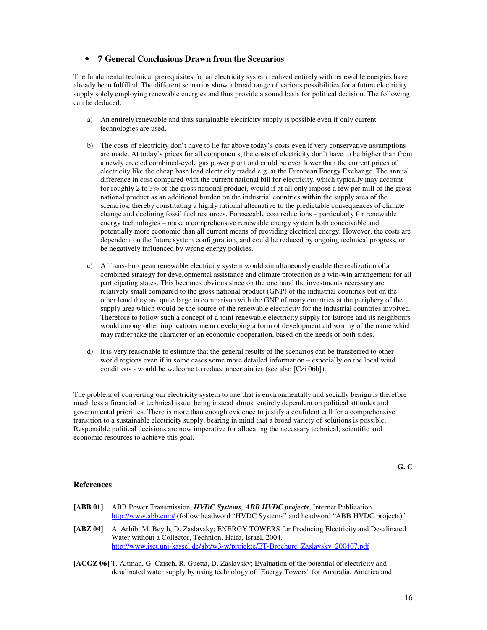# • **7 General Conclusions Drawn from the Scenarios**

The fundamental technical prerequisites for an electricity system realized entirely with renewable energies have already been fulfilled. The different scenarios show a broad range of various possibilities for a future electricity supply solely employing renewable energies and thus provide a sound basis for political decision. The following can be deduced:

- a) An entirely renewable and thus sustainable electricity supply is possible even if only current technologies are used.
- b) The costs of electricity don't have to lie far above today's costs even if very conservative assumptions are made. At today's prices for all components, the costs of electricity don't have to be higher than from a newly erected combined-cycle gas power plant and could be even lower than the current prices of electricity like the cheap base load electricity traded e.g. at the European Energy Exchange. The annual difference in cost compared with the current national bill for electricity, which typically may account for roughly 2 to 3% of the gross national product, would if at all only impose a few per mill of the gross national product as an additional burden on the industrial countries within the supply area of the scenarios, thereby constituting a highly rational alternative to the predictable consequences of climate change and declining fossil fuel resources. Foreseeable cost reductions – particularly for renewable energy technologies – make a comprehensive renewable energy system both conceivable and potentially more economic than all current means of providing electrical energy. However, the costs are dependent on the future system configuration, and could be reduced by ongoing technical progress, or be negatively influenced by wrong energy policies.
- c) A Trans-European renewable electricity system would simultaneously enable the realization of a combined strategy for developmental assistance and climate protection as a win-win arrangement for all participating states. This becomes obvious since on the one hand the investments necessary are relatively small compared to the gross national product (GNP) of the industrial countries but on the other hand they are quite large in comparison with the GNP of many countries at the periphery of the supply area which would be the source of the renewable electricity for the industrial countries involved. Therefore to follow such a concept of a joint renewable electricity supply for Europe and its neighbours would among other implications mean developing a form of development aid worthy of the name which may rather take the character of an economic cooperation, based on the needs of both sides.
- d) It is very reasonable to estimate that the general results of the scenarios can be transferred to other world regions even if in some cases some more detailed information – especially on the local wind conditions - would be welcome to reduce uncertainties (see also [Czi 06b]).

The problem of converting our electricity system to one that is environmentally and socially benign is therefore much less a financial or technical issue, being instead almost entirely dependent on political attitudes and governmental priorities. There is more than enough evidence to justify a confident call for a comprehensive transition to a sustainable electricity supply, bearing in mind that a broad variety of solutions is possible. Responsible political decisions are now imperative for allocating the necessary technical, scientific and economic resources to achieve this goal.

**G. C** 

### **References**

| <b>[ABB 01]</b> | ABB Power Transmission, <i>HVDC Systems, ABB HVDC projects</i> , Internet Publication<br>http://www.abb.com/ (follow headword "HVDC Systems" and headword "ABB HVDC projects)"                                                             |
|-----------------|--------------------------------------------------------------------------------------------------------------------------------------------------------------------------------------------------------------------------------------------|
| [ABZ 04]        | A. Arbib, M. Beyth, D. Zaslavsky; ENERGY TOWERS for Producing Electricity and Desalinated<br>Water without a Collector, Technion, Haifa, Israel, 2004.<br>http://www.iset.uni-kassel.de/abt/w3-w/projekte/ET-Brochure Zaslavsky 200407.pdf |

**[ACGZ 06]** T. Altman, G. Czisch, R. Guetta, D. Zaslavsky; Evaluation of the potential of electricity and desalinated water supply by using technology of "Energy Towers" for Australia, America and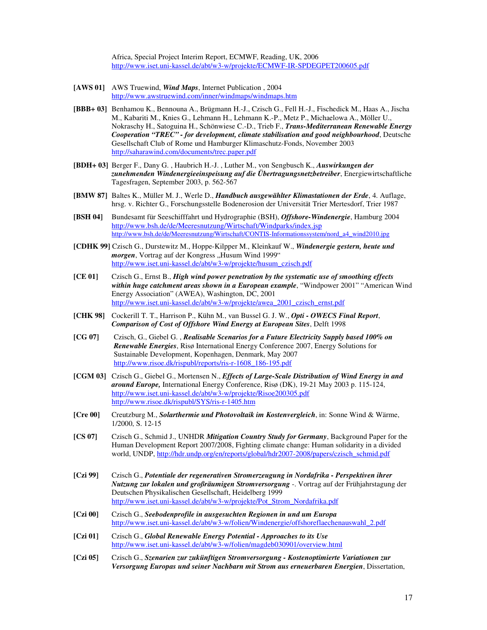Africa, Special Project Interim Report, ECMWF, Reading, UK, 2006 http://www.iset.uni-kassel.de/abt/w3-w/projekte/ECMWF-IR-SPDEGPET200605.pdf

- **[AWS 01]** AWS Truewind, *Wind Maps*, Internet Publication , 2004 http://www.awstruewind.com/inner/windmaps/windmaps.htm
- **[BBB+ 03]** Benhamou K., Bennouna A., Brügmann H.-J., Czisch G., Fell H.-J., Fischedick M., Haas A., Jischa M., Kabariti M., Knies G., Lehmann H., Lehmann K.-P., Metz P., Michaelowa A., Möller U., Nokraschy H., Satoguina H., Schönwiese C.-D., Trieb F., *Trans-Mediterranean Renewable Energy Cooperation "TREC" - for development, climate stabilisation and good neighbourhood*, Deutsche Gesellschaft Club of Rome und Hamburger Klimaschutz-Fonds, November 2003 http://saharawind.com/documents/trec.paper.pdf
- **[BDH+ 03]** Berger F., Dany G. , Haubrich H.-J. , Luther M., von Sengbusch K., *Auswirkungen der zunehmenden Windenergieeinspeisung auf die Übertragungsnetzbetreiber*, Energiewirtschaftliche Tagesfragen, September 2003, p. 562-567
- **[BMW 87]** Baltes K., Müller M. J., Werle D., *Handbuch ausgewählter Klimastationen der Erde*, 4. Auflage, hrsg. v. Richter G., Forschungsstelle Bodenerosion der Universität Trier Mertesdorf, Trier 1987
- **[BSH 04]** Bundesamt für Seeschifffahrt und Hydrographie (BSH), *Offshore-Windenergie*, Hamburg 2004 http://www.bsh.de/de/Meeresnutzung/Wirtschaft/Windparks/index.jsp http://www.bsh.de/de/Meeresnutzung/Wirtschaft/CONTIS-Informationssystem/nord\_a4\_wind2010.jpg
- **[CDHK 99]** Czisch G., Durstewitz M., Hoppe-Kilpper M., Kleinkauf W., *Windenergie gestern, heute und morgen*, Vortrag auf der Kongress "Husum Wind 1999" http://www.iset.uni-kassel.de/abt/w3-w/projekte/husum\_czisch.pdf
- **[CE 01]** Czisch G., Ernst B., *High wind power penetration by the systematic use of smoothing effects*  within huge catchment areas shown in a European example, "Windpower 2001" "American Wind Energy Association" (AWEA), Washington, DC, 2001 http://www.iset.uni-kassel.de/abt/w3-w/projekte/awea\_2001\_czisch\_ernst.pdf
- **[CHK 98]** Cockerill T. T., Harrison P., Kühn M., van Bussel G. J. W., *Opti OWECS Final Report*, *Comparison of Cost of Offshore Wind Energy at European Sites*, Delft 1998
- **[CG 07]** Czisch, G., Giebel G. , *Realisable Scenarios for a Future Electricity Supply based 100% on Renewable Energies*, Risø International Energy Conference 2007, Energy Solutions for Sustainable Development, Kopenhagen, Denmark, May 2007 http://www.risoe.dk/rispubl/reports/ris-r-1608\_186-195.pdf
- **[CGM 03]** Czisch G., Giebel G., Mortensen N., *Effects of Large-Scale Distribution of Wind Energy in and around Europe,* International Energy Conference, Risø (DK), 19-21 May 2003 p. 115-124, http://www.iset.uni-kassel.de/abt/w3-w/projekte/Risoe200305.pdf http://www.risoe.dk/rispubl/SYS/ris-r-1405.htm
- **[Cre 00]** Creutzburg M., *Solarthermie und Photovoltaik im Kostenvergleich*, in: Sonne Wind & Wärme, 1/2000, S. 12-15
- **[CS 07]** Czisch G., Schmid J., UNHDR *Mitigation Country Study for Germany*, Background Paper for the Human Development Report 2007/2008, Fighting climate change: Human solidarity in a divided world, UNDP, http://hdr.undp.org/en/reports/global/hdr2007-2008/papers/czisch\_schmid.pdf
- **[Czi 99]** Czisch G., *Potentiale der regenerativen Stromerzeugung in Nordafrika Perspektiven ihrer Nutzung zur lokalen und großräumigen Stromversorgung* -. Vortrag auf der Frühjahrstagung der Deutschen Physikalischen Gesellschaft, Heidelberg 1999 http://www.iset.uni-kassel.de/abt/w3-w/projekte/Pot\_Strom\_Nordafrika.pdf
- **[Czi 00]** Czisch G., *Seebodenprofile in ausgesuchten Regionen in und um Europa* http://www.iset.uni-kassel.de/abt/w3-w/folien/Windenergie/offshoreflaechenauswahl\_2.pdf
- **[Czi 01]** Czisch G., *Global Renewable Energy Potential Approaches to its Use* http://www.iset.uni-kassel.de/abt/w3-w/folien/magdeb030901/overview.html
- **[Czi 05]** Czisch G., *Szenarien zur zukünftigen Stromversorgung Kostenoptimierte Variationen zur Versorgung Europas und seiner Nachbarn mit Strom aus erneuerbaren Energien*, Dissertation,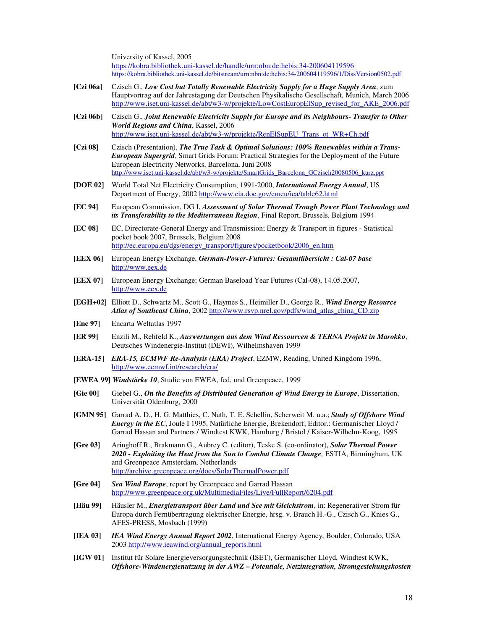University of Kassel, 2005 https://kobra.bibliothek.uni-kassel.de/handle/urn:nbn:de:hebis:34-200604119596 https://kobra.bibliothek.uni-kassel.de/bitstream/urn:nbn:de:hebis:34-200604119596/1/DissVersion0502.pdf

- **[Czi 06a]** Czisch G., *Low Cost but Totally Renewable Electricity Supply for a Huge Supply Area*, zum Hauptvortrag auf der Jahrestagung der Deutschen Physikalische Gesellschaft, Munich, March 2006 http://www.iset.uni-kassel.de/abt/w3-w/projekte/LowCostEuropElSup\_revised\_for\_AKE\_2006.pdf
- **[Czi 06b]** Czisch G., *Joint Renewable Electricity Supply for Europe and its Neighbours- Transfer to Other World Regions and China*, Kassel, 2006 http://www.iset.uni-kassel.de/abt/w3-w/projekte/RenElSupEU\_Trans\_ot\_WR+Ch.pdf
- **[Czi 08]** Czisch (Presentation), *The True Task & Optimal Solutions: 100% Renewables within a Trans-European Supergrid*, Smart Grids Forum: Practical Strategies for the Deployment of the Future European Electricity Networks, Barcelona, Juni 2008 http://www.iset.uni-kassel.de/abt/w3-w/projekte/SmartGrids\_Barcelona\_GCzisch20080506\_kurz.ppt
- **[DOE 02]** World Total Net Electricity Consumption, 1991-2000, *International Energy Annual*, US Department of Energy, 2002 http://www.eia.doe.gov/emeu/iea/table62.html
- **[EC 94]** European Commission, DG I, *Assessment of Solar Thermal Trough Power Plant Technology and its Transferability to the Mediterranean Region*, Final Report, Brussels, Belgium 1994
- **[EC 08]** EC, Directorate-General Energy and Transmission; Energy & Transport in figures Statistical pocket book 2007, Brussels, Belgium 2008 http://ec.europa.eu/dgs/energy\_transport/figures/pocketbook/2006\_en.htm
- **[EEX 06]** European Energy Exchange, *German-Power-Futures: Gesamtübersicht : Cal-07 base* http://www.eex.de
- **[EEX 07]** European Energy Exchange; German Baseload Year Futures (Cal-08), 14.05.2007, http://www.eex.de
- **[EGH+02]** Elliott D., Schwartz M., Scott G., Haymes S., Heimiller D., George R., *Wind Energy Resource Atlas of Southeast China*, 2002 http://www.rsvp.nrel.gov/pdfs/wind\_atlas\_china\_CD.zip
- **[Enc 97]** Encarta Weltatlas 1997
- **[ER 99]** Enzili M., Rehfeld K., *Auswertungen aus dem Wind Ressourcen & TERNA Projekt in Marokko*, Deutsches Windenergie-Institut (DEWI), Wilhelmshaven 1999
- **[ERA-15]** *ERA-15, ECMWF Re-Analysis (ERA) Project*, EZMW, Reading, United Kingdom 1996, http://www.ecmwf.int/research/era/
- **[EWEA 99]** *Windstärke 10*, Studie von EWEA, fed, und Greenpeace, 1999
- **[Gie 00]** Giebel G., *On the Benefits of Distributed Generation of Wind Energy in Europe*, Dissertation, Universität Oldenburg, 2000
- **[GMN 95]** Garrad A. D., H. G. Matthies, C. Nath, T. E. Schellin, Scherweit M. u.a.; *Study of Offshore Wind Energy in the EC*, Joule I 1995, Natürliche Energie, Brekendorf, Editor.: Germanischer Lloyd / Garrad Hassan and Partners / Windtest KWK, Hamburg / Bristol / Kaiser-Wilhelm-Koog, 1995
- **[Gre 03]** Aringhoff R., Brakmann G., Aubrey C. (editor), Teske S. (co-ordinator), *Solar Thermal Power 2020 - Exploiting the Heat from the Sun to Combat Climate Change,* ESTIA, Birmingham, UK and Greenpeace Amsterdam, Netherlands http://archive.greenpeace.org/docs/SolarThermalPower.pdf
- **[Gre 04]** *Sea Wind Europe*, report by Greenpeace and Garrad Hassan http://www.greenpeace.org.uk/MultimediaFiles/Live/FullReport/6204.pdf
- **[Häu 99]** Häusler M., *Energietransport über Land und See mit Gleichstrom*, in: Regenerativer Strom für Europa durch Fernübertragung elektrischer Energie, hrsg. v. Brauch H.-G., Czisch G., Knies G., AFES-PRESS, Mosbach (1999)
- **[IEA 03]** *IEA Wind Energy Annual Report 2002*, International Energy Agency, Boulder, Colorado, USA 2003 http://www.ieawind.org/annual\_reports.html
- **[IGW 01]** Institut für Solare Energieversorgungstechnik (ISET), Germanischer Lloyd, Windtest KWK, *Offshore-Windenergienutzung in der AWZ – Potentiale, Netzintegration, Stromgestehungskosten*